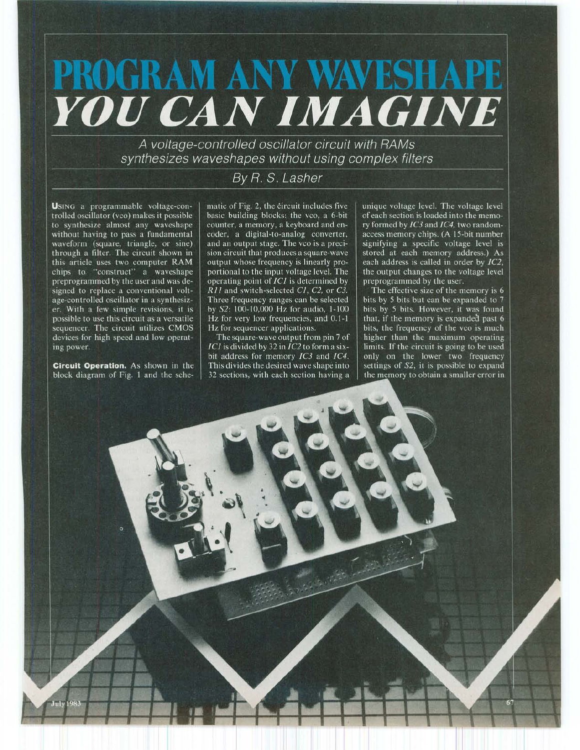## PROGRAM ANY WAVESHAP **YOU CAN IMAGINE**

A voltage-controlled oscillator circuit with RAMs synthesizes waveshapes without using complex filters

## By R. S. Lasher

USING a programmable voltage-controlled oscillator (vco) makes it possible to synthesize almost any waveshape without having to pass a fundamental waveform (square, triangle, or sine) through a filter. The circuit shown in this article uses two computer RAM chips to "construct" a waveshape preprogrammed by the user and was designed to replace a conventional voltage-controlled oscillator in a synthesizer. With a few simple revisions, it is possible to use this circuit as a versatile sequencer. The circuit utilizes CMOS devices for high speed and low operating power.

Circuit Operation. As shown in the block diagram of Fig. 1 and the schematic of Fig. 2, the circuit includes five basic building blocks: the vco, a 6-bit counter, a memory, a keyboard and encoder, a digital-to-analog converter, and an output stage. The vco is a precision circuit that produces a square-wave output whose frequency is linearly proportional to the input voltage level. The operating point of IC1 is determined by  $\overline{R}$ 11 and switch-selected C1, C2, or C3. Three frequency ranges can be selected by S2: 100-10,000 Hz for audio, 1-100 Hz for very low frequencies, and 0.1-1 Hz for sequencer applications.

The square-wave output from pin 7 of  $ICI$  is divided by 32 in  $IC2$  to form a sixbit address for memory IC3 and IC4. This divides the desired wave shape into 32 sections, with each section having a

unique voltage level. The voltage level of each section is loaded into the memory formed by IC3 and IC4, two randomaccess memory chips. (A 15-bit number signifying a specific voltage level is stored at each memory address.) As each address is called in order by IC2, the output changes to the voltage level preprogrammed by the user.

The effective size of the memory is 6 bits by 5 bits but can be expanded to 7 bits by 5 bits. However, it was found that, if the memory is expanded past 6 bits, the frequency of the vco is much higher than the maximum operating limits. If the circuit is going to be used only on the lower two frequency<br>settings of S2, it is possible to expand the memory to obtain a smaller error in

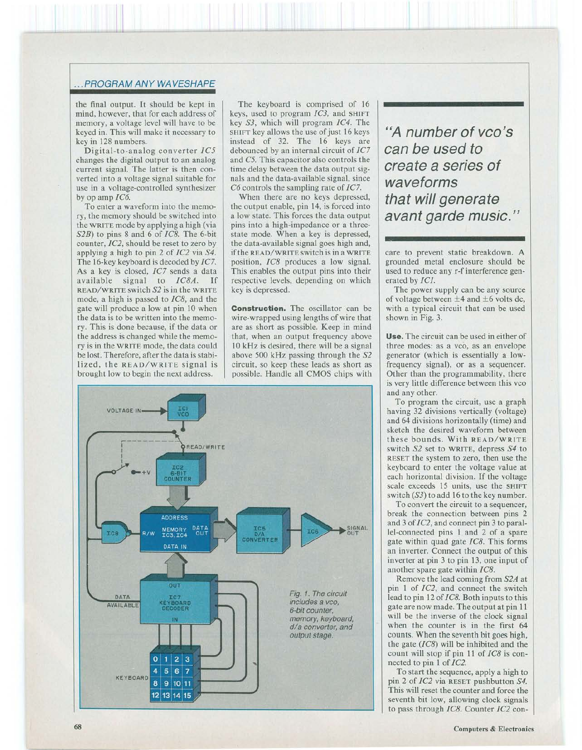## ... PROGRAM ANY WAVESHAPE

the final output. It should be kept in mind, however, that for each address of memory, a voltage level will have to be keyed in. This will make it necessary to key in 128 numbers.

Digital-to-analog converter *IC5*  changes the digital output to an analog current signal. The latter is then converted into a voltage signal suitable for use in a voltage-controlled synthesizer by op amp *IC6.* 

To enter a waveform into the memory, the memory should be switched into the WRITE mode by applying a high (via *S2B)* to pins 8 and 6 of *IC8.* The 6-bit counter, *IC2,* should be reset to zero by applying a high to pin 2 of *IC2* via *S4.*  The 16-key keyboard is decoded by /C7. As a key is closed, IC7 sends a data available signal to *IC8A.* If READ/WRITE switch *S2* is in the WRITE mode, a high is passed to *IC8,* and the gate will produce a low at pin 10 when the data is to be written into the memory. This is done because, if the data or the address is changed while the memory is in the WRITE mode, the data could be lost. Therefore, after the data is stabilized, the READ/WRITE signal is brought low to begin the next address.

The keyboard is comprised of 16 keys, used to program *IC3,* and SHIFT key *S3,* which will program *IC4.* The SHIFT key allows the use of just 16 keys instead of 32. The 16 keys are debounced by an internal circuit of *IC7*  and *C5.* This capacitor also controls the time delay between the data output signals and the data-available signal, since *C6* controls the sampling rate of /C7.

When there are no keys depressed, the output enable, pin 14, is forced into a low state. This forces the data output pins into a high-impedance or a threestate mode. When a key is depressed, the data-available signal goes high and, if the READ/WRITE switch is in a WRITE position, *IC8* produces a low signal. This enables the output pins into their respective levels, depending on which key is depressed.

**Construction.** The oscillator can be wire-wrapped using lengths of wire that are as short as possible. Keep in mind that, when an output frequency above 10 kHz is desired, there will be a signal above 500 kHz passing through the *S2*  circuit, so keep these leads as short as possible. Handle all CMOS chips with



**"A number of vco's can be used to create a series of waveforms that will generate avant garde music."** 

care to prevent static breakdown. A grounded metal enclosure should be used to reduce any r-f interference generated by *ICJ.* 

The power supply can be any source of voltage between  $\pm 4$  and  $\pm 6$  volts dc, with a typical circuit that can be used shown in Fig. 3.

**Use.** The circuit can be used in either of three modes: as a vco, as an envelope generator (which is essentially a lowfrequency signal), or as a sequencer. Other than the programmability, there is very little difference between this vco and any other.

To program the circuit, use a graph having 32 divisions vertically (voltage) and 64 divisions horizontally (time) and sketch the desired waveform between these bounds. With READ/WRITE switch *S2* set to WRITE, depress *S4* to RESET the system to zero, then use the keyboard to enter the voltage value at each horizontal division. If the voltage scale exceeds 15 units, use the SHIFT switch  $(S3)$  to add 16 to the key number.

To convert the circuit to a sequencer, break the connection between pins 2 and 3 of *IC2,* and connect pin 3 to parallel-connected pins 1 and 2 of a spare gate within quad gate *IC8.* This forms an inverter. Connect the output of this inverter at pin 3 to pin 13, one input of another spare gate within *IC8.* 

Remove the lead coming from *S2A* at pin 1 of *IC2,* and connect the switch lead to pin 12 of *IC8.* Both inputs to this gate are now made. The output at pin 11 will be the inverse of the clock signal when the counter is in the first 64 counts. When the seventh bit goes high, the gate *(IC8)* will be inhibited and the count will stop if pin 11 of *IC8* is connected to pin 1 of *IC2.* 

To start the sequence, apply a high to pin 2 of *IC2* via RESET pushbutton *S4.*  This will reset the counter and force the seventh bit low, allowing clock signals to pass through *IC8.* Counter *IC2* con-